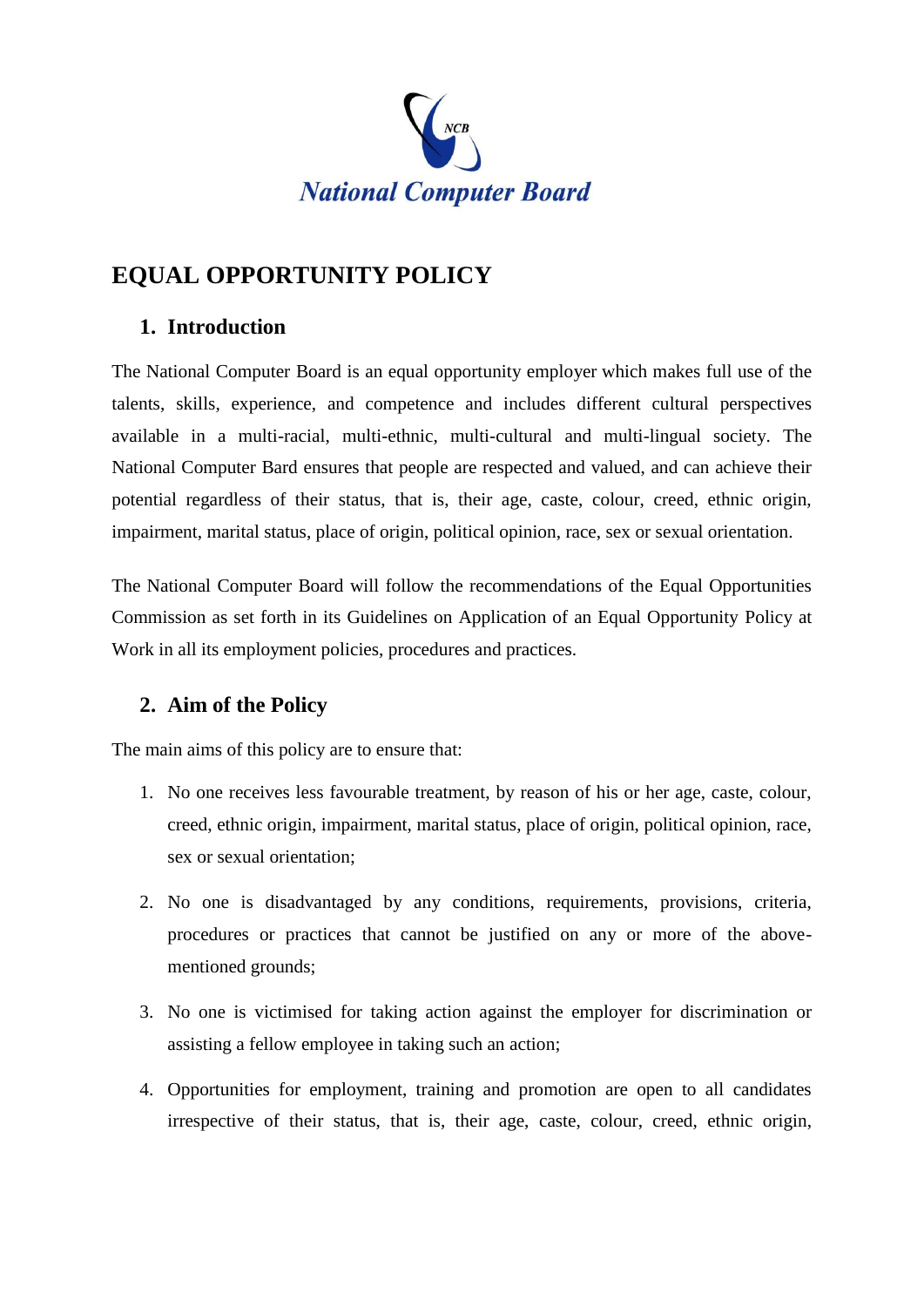

# **EQUAL OPPORTUNITY POLICY**

## **1. Introduction**

The National Computer Board is an equal opportunity employer which makes full use of the talents, skills, experience, and competence and includes different cultural perspectives available in a multi-racial, multi-ethnic, multi-cultural and multi-lingual society. The National Computer Bard ensures that people are respected and valued, and can achieve their potential regardless of their status, that is, their age, caste, colour, creed, ethnic origin, impairment, marital status, place of origin, political opinion, race, sex or sexual orientation.

The National Computer Board will follow the recommendations of the Equal Opportunities Commission as set forth in its Guidelines on Application of an Equal Opportunity Policy at Work in all its employment policies, procedures and practices.

## **2. Aim of the Policy**

The main aims of this policy are to ensure that:

- 1. No one receives less favourable treatment, by reason of his or her age, caste, colour, creed, ethnic origin, impairment, marital status, place of origin, political opinion, race, sex or sexual orientation;
- 2. No one is disadvantaged by any conditions, requirements, provisions, criteria, procedures or practices that cannot be justified on any or more of the abovementioned grounds;
- 3. No one is victimised for taking action against the employer for discrimination or assisting a fellow employee in taking such an action;
- 4. Opportunities for employment, training and promotion are open to all candidates irrespective of their status, that is, their age, caste, colour, creed, ethnic origin,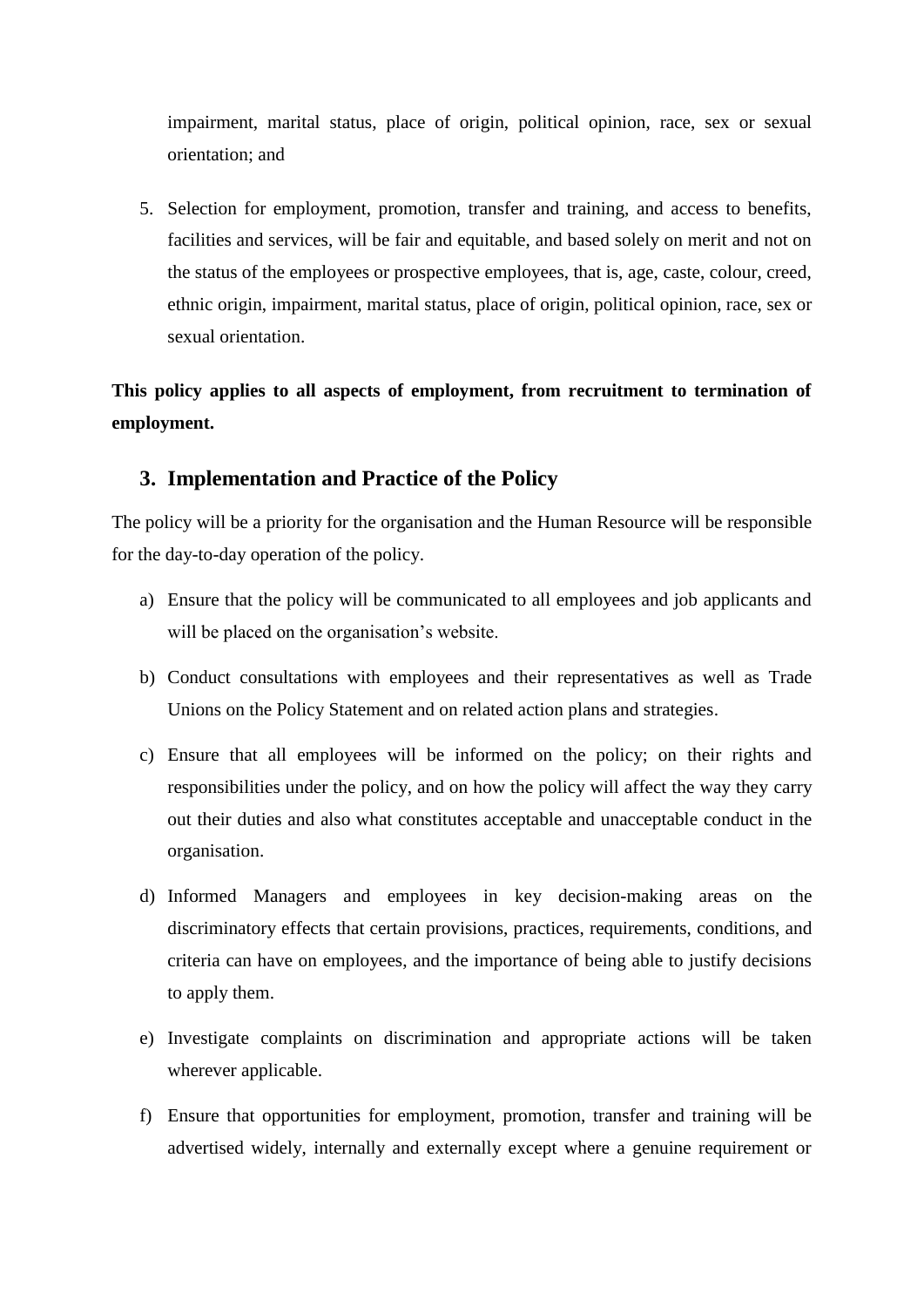impairment, marital status, place of origin, political opinion, race, sex or sexual orientation; and

5. Selection for employment, promotion, transfer and training, and access to benefits, facilities and services, will be fair and equitable, and based solely on merit and not on the status of the employees or prospective employees, that is, age, caste, colour, creed, ethnic origin, impairment, marital status, place of origin, political opinion, race, sex or sexual orientation.

**This policy applies to all aspects of employment, from recruitment to termination of employment.** 

#### **3. Implementation and Practice of the Policy**

The policy will be a priority for the organisation and the Human Resource will be responsible for the day-to-day operation of the policy.

- a) Ensure that the policy will be communicated to all employees and job applicants and will be placed on the organisation's website.
- b) Conduct consultations with employees and their representatives as well as Trade Unions on the Policy Statement and on related action plans and strategies.
- c) Ensure that all employees will be informed on the policy; on their rights and responsibilities under the policy, and on how the policy will affect the way they carry out their duties and also what constitutes acceptable and unacceptable conduct in the organisation.
- d) Informed Managers and employees in key decision-making areas on the discriminatory effects that certain provisions, practices, requirements, conditions, and criteria can have on employees, and the importance of being able to justify decisions to apply them.
- e) Investigate complaints on discrimination and appropriate actions will be taken wherever applicable.
- f) Ensure that opportunities for employment, promotion, transfer and training will be advertised widely, internally and externally except where a genuine requirement or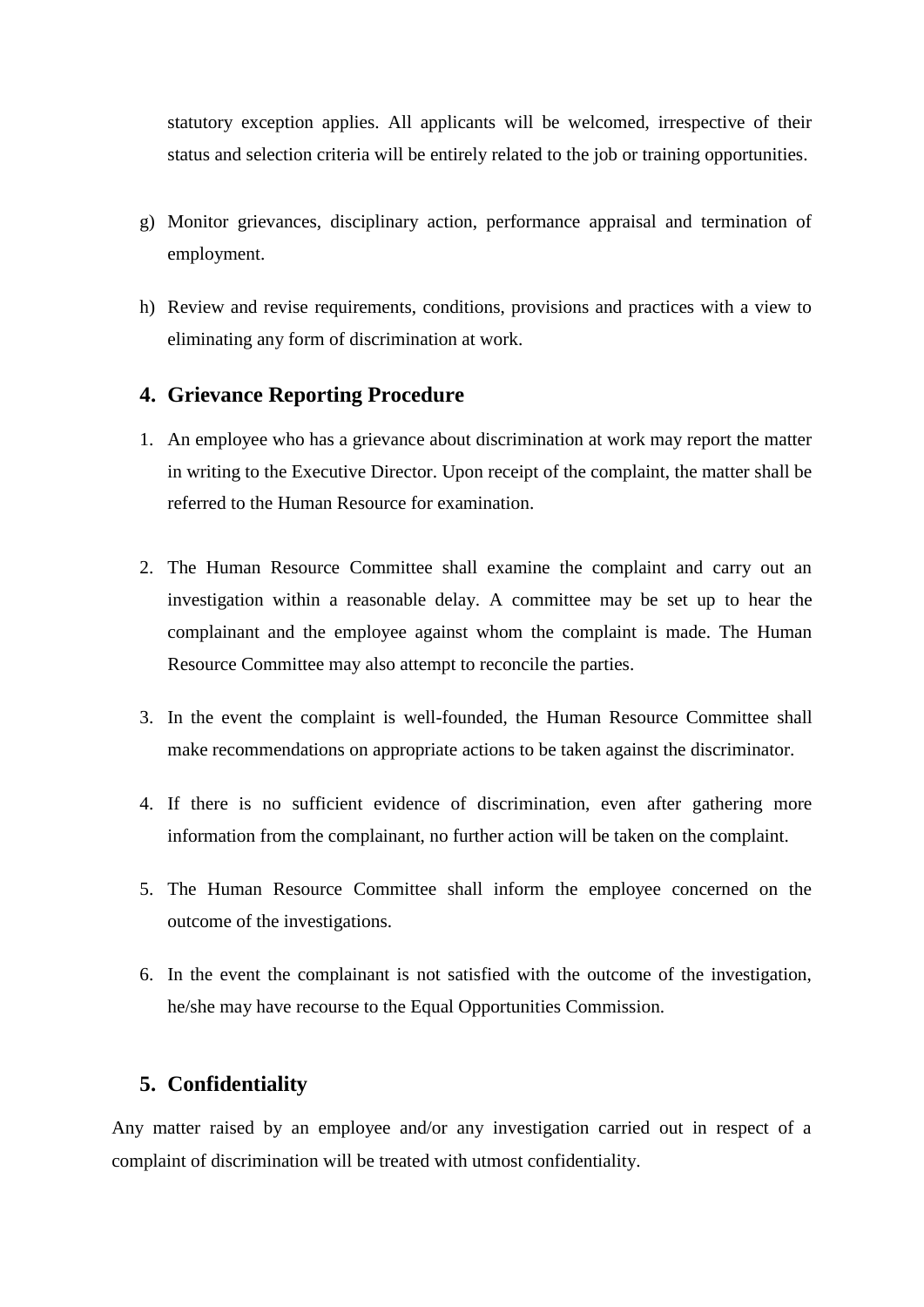statutory exception applies. All applicants will be welcomed, irrespective of their status and selection criteria will be entirely related to the job or training opportunities.

- g) Monitor grievances, disciplinary action, performance appraisal and termination of employment.
- h) Review and revise requirements, conditions, provisions and practices with a view to eliminating any form of discrimination at work.

#### **4. Grievance Reporting Procedure**

- 1. An employee who has a grievance about discrimination at work may report the matter in writing to the Executive Director. Upon receipt of the complaint, the matter shall be referred to the Human Resource for examination.
- 2. The Human Resource Committee shall examine the complaint and carry out an investigation within a reasonable delay. A committee may be set up to hear the complainant and the employee against whom the complaint is made. The Human Resource Committee may also attempt to reconcile the parties.
- 3. In the event the complaint is well-founded, the Human Resource Committee shall make recommendations on appropriate actions to be taken against the discriminator.
- 4. If there is no sufficient evidence of discrimination, even after gathering more information from the complainant, no further action will be taken on the complaint.
- 5. The Human Resource Committee shall inform the employee concerned on the outcome of the investigations.
- 6. In the event the complainant is not satisfied with the outcome of the investigation, he/she may have recourse to the Equal Opportunities Commission.

#### **5. Confidentiality**

Any matter raised by an employee and/or any investigation carried out in respect of a complaint of discrimination will be treated with utmost confidentiality.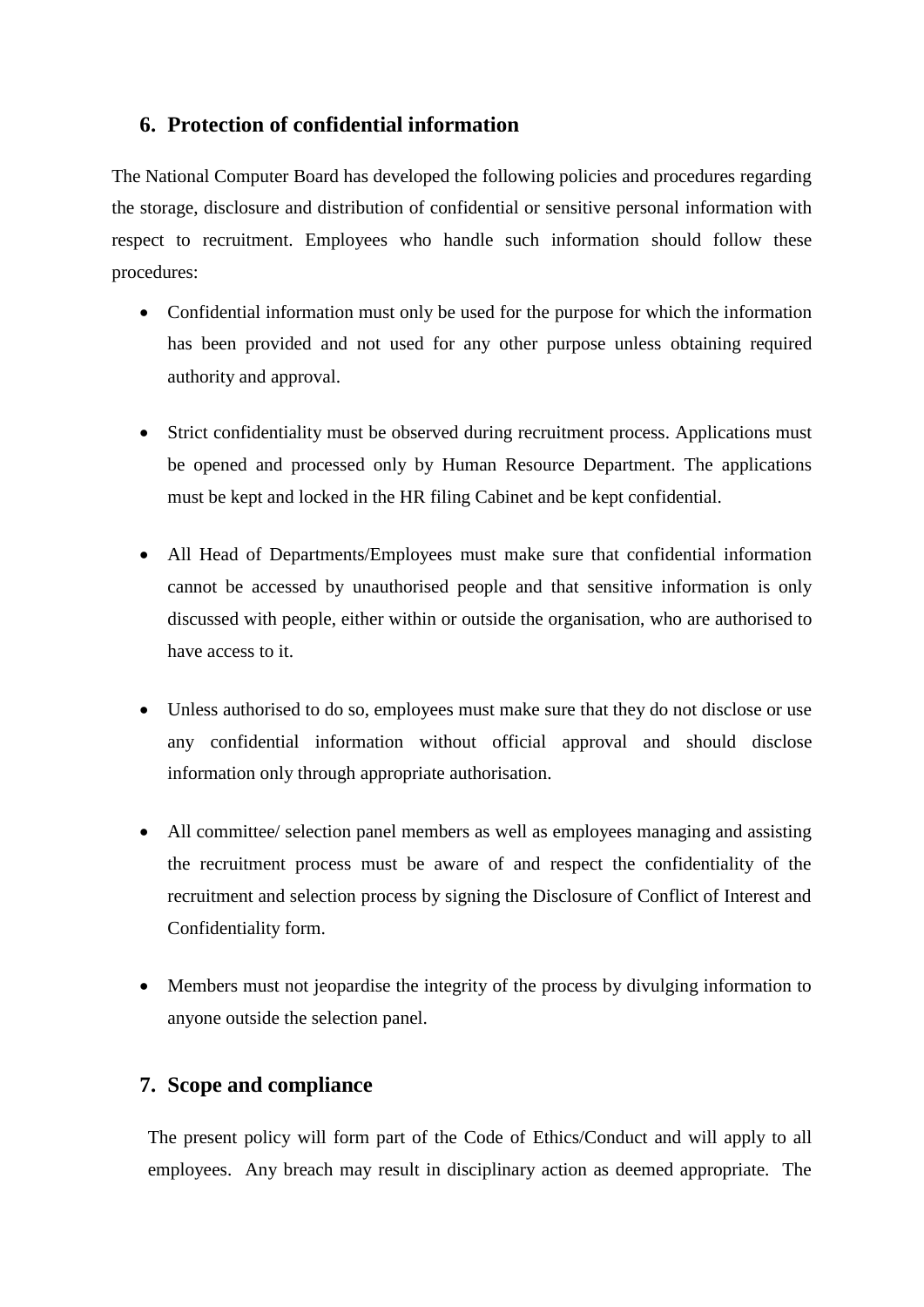## **6. Protection of confidential information**

The National Computer Board has developed the following policies and procedures regarding the storage, disclosure and distribution of confidential or sensitive personal information with respect to recruitment. Employees who handle such information should follow these procedures:

- Confidential information must only be used for the purpose for which the information has been provided and not used for any other purpose unless obtaining required authority and approval.
- Strict confidentiality must be observed during recruitment process. Applications must be opened and processed only by Human Resource Department. The applications must be kept and locked in the HR filing Cabinet and be kept confidential.
- All Head of Departments/Employees must make sure that confidential information cannot be accessed by unauthorised people and that sensitive information is only discussed with people, either within or outside the organisation, who are authorised to have access to it.
- Unless authorised to do so, employees must make sure that they do not disclose or use any confidential information without official approval and should disclose information only through appropriate authorisation.
- All committee/ selection panel members as well as employees managing and assisting the recruitment process must be aware of and respect the confidentiality of the recruitment and selection process by signing the Disclosure of Conflict of Interest and Confidentiality form.
- Members must not jeopardise the integrity of the process by divulging information to anyone outside the selection panel.

## **7. Scope and compliance**

The present policy will form part of the Code of Ethics/Conduct and will apply to all employees. Any breach may result in disciplinary action as deemed appropriate. The